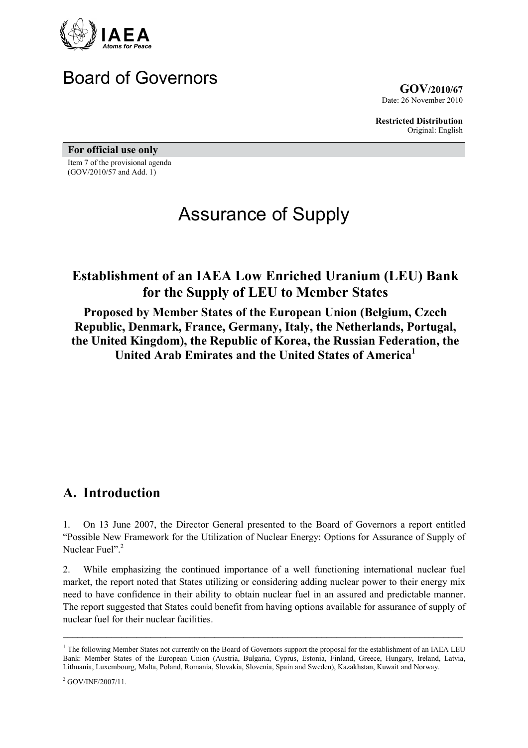

# Board of Governors

GOV/2010/67 Date: 26 November 2010

Restricted Distribution Original: English

For official use only

Item 7 of the provisional agenda (GOV/2010/57 and Add. 1)

# Assurance of Supply

# Establishment of an IAEA Low Enriched Uranium (LEU) Bank for the Supply of LEU to Member States

Proposed by Member States of the European Union (Belgium, Czech Republic, Denmark, France, Germany, Italy, the Netherlands, Portugal, the United Kingdom), the Republic of Korea, the Russian Federation, the United Arab Emirates and the United States of America<sup>1</sup>

# A. Introduction

1. On 13 June 2007, the Director General presented to the Board of Governors a report entitled "Possible New Framework for the Utilization of Nuclear Energy: Options for Assurance of Supply of Nuclear Fuel"<sup>2</sup>

2. While emphasizing the continued importance of a well functioning international nuclear fuel market, the report noted that States utilizing or considering adding nuclear power to their energy mix need to have confidence in their ability to obtain nuclear fuel in an assured and predictable manner. The report suggested that States could benefit from having options available for assurance of supply of nuclear fuel for their nuclear facilities.

<sup>&</sup>lt;sup>1</sup> The following Member States not currently on the Board of Governors support the proposal for the establishment of an IAEA LEU Bank: Member States of the European Union (Austria, Bulgaria, Cyprus, Estonia, Finland, Greece, Hungary, Ireland, Latvia, Lithuania, Luxembourg, Malta, Poland, Romania, Slovakia, Slovenia, Spain and Sweden), Kazakhstan, Kuwait and Norway.

<sup>2</sup> GOV/INF/2007/11.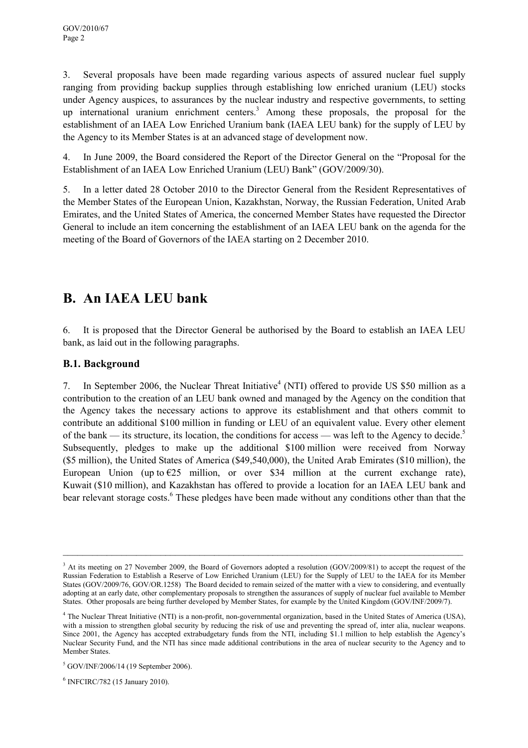3. Several proposals have been made regarding various aspects of assured nuclear fuel supply ranging from providing backup supplies through establishing low enriched uranium (LEU) stocks under Agency auspices, to assurances by the nuclear industry and respective governments, to setting up international uranium enrichment centers.<sup>3</sup> Among these proposals, the proposal for the establishment of an IAEA Low Enriched Uranium bank (IAEA LEU bank) for the supply of LEU by the Agency to its Member States is at an advanced stage of development now.

4. In June 2009, the Board considered the Report of the Director General on the "Proposal for the Establishment of an IAEA Low Enriched Uranium (LEU) Bank" (GOV/2009/30).

5. In a letter dated 28 October 2010 to the Director General from the Resident Representatives of the Member States of the European Union, Kazakhstan, Norway, the Russian Federation, United Arab Emirates, and the United States of America, the concerned Member States have requested the Director General to include an item concerning the establishment of an IAEA LEU bank on the agenda for the meeting of the Board of Governors of the IAEA starting on 2 December 2010.

# B. An IAEA LEU bank

6. It is proposed that the Director General be authorised by the Board to establish an IAEA LEU bank, as laid out in the following paragraphs.

### B.1. Background

7. In September 2006, the Nuclear Threat Initiative<sup>4</sup> (NTI) offered to provide US \$50 million as a contribution to the creation of an LEU bank owned and managed by the Agency on the condition that the Agency takes the necessary actions to approve its establishment and that others commit to contribute an additional \$100 million in funding or LEU of an equivalent value. Every other element of the bank — its structure, its location, the conditions for access — was left to the Agency to decide.<sup>5</sup> Subsequently, pledges to make up the additional \$100 million were received from Norway (\$5 million), the United States of America (\$49,540,000), the United Arab Emirates (\$10 million), the European Union (up to  $E25$  million, or over \$34 million at the current exchange rate), Kuwait (\$10 million), and Kazakhstan has offered to provide a location for an IAEA LEU bank and bear relevant storage costs.<sup>6</sup> These pledges have been made without any conditions other than that the

<sup>&</sup>lt;sup>3</sup> At its meeting on 27 November 2009, the Board of Governors adopted a resolution (GOV/2009/81) to accept the request of the Russian Federation to Establish a Reserve of Low Enriched Uranium (LEU) for the Supply of LEU to the IAEA for its Member States (GOV/2009/76, GOV/OR.1258) The Board decided to remain seized of the matter with a view to considering, and eventually adopting at an early date, other complementary proposals to strengthen the assurances of supply of nuclear fuel available to Member States. Other proposals are being further developed by Member States, for example by the United Kingdom (GOV/INF/2009/7).

<sup>4</sup> The Nuclear Threat Initiative (NTI) is a non-profit, non-governmental organization, based in the United States of America (USA), with a mission to strengthen global security by reducing the risk of use and preventing the spread of, inter alia, nuclear weapons. Since 2001, the Agency has accepted extrabudgetary funds from the NTI, including \$1.1 million to help establish the Agency's Nuclear Security Fund, and the NTI has since made additional contributions in the area of nuclear security to the Agency and to Member States.

<sup>5</sup> GOV/INF/2006/14 (19 September 2006).

<sup>6</sup> INFCIRC/782 (15 January 2010).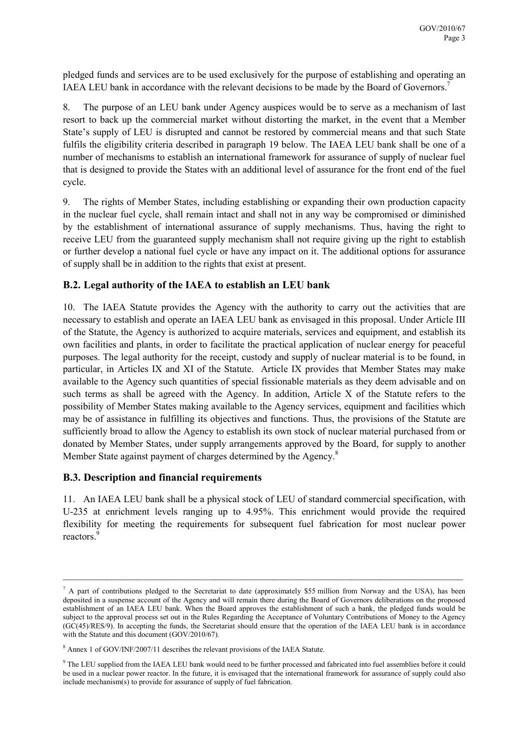pledged funds and services are to be used exclusively for the purpose of establishing and operating an IAEA LEU bank in accordance with the relevant decisions to be made by the Board of Governors.<sup>7</sup>

8. The purpose of an LEU bank under Agency auspices would be to serve as a mechanism of last resort to back up the commercial market without distorting the market, in the event that a Member State's supply of LEU is disrupted and cannot be restored by commercial means and that such State fulfils the eligibility criteria described in paragraph 19 below. The IAEA LEU bank shall be one of a number of mechanisms to establish an international framework for assurance of supply of nuclear fuel that is designed to provide the States with an additional level of assurance for the front end of the fuel cycle.

9. The rights of Member States, including establishing or expanding their own production capacity in the nuclear fuel cycle, shall remain intact and shall not in any way be compromised or diminished by the establishment of international assurance of supply mechanisms. Thus, having the right to receive LEU from the guaranteed supply mechanism shall not require giving up the right to establish or further develop a national fuel cycle or have any impact on it. The additional options for assurance of supply shall be in addition to the rights that exist at present.

#### B.2. Legal authority of the IAEA to establish an LEU bank

10. The IAEA Statute provides the Agency with the authority to carry out the activities that are necessary to establish and operate an IAEA LEU bank as envisaged in this proposal. Under Article III of the Statute, the Agency is authorized to acquire materials, services and equipment, and establish its own facilities and plants, in order to facilitate the practical application of nuclear energy for peaceful purposes. The legal authority for the receipt, custody and supply of nuclear material is to be found, in particular, in Articles IX and XI of the Statute. Article IX provides that Member States may make available to the Agency such quantities of special fissionable materials as they deem advisable and on such terms as shall be agreed with the Agency. In addition, Article X of the Statute refers to the possibility of Member States making available to the Agency services, equipment and facilities which may be of assistance in fulfilling its objectives and functions. Thus, the provisions of the Statute are sufficiently broad to allow the Agency to establish its own stock of nuclear material purchased from or donated by Member States, under supply arrangements approved by the Board, for supply to another Member State against payment of charges determined by the Agency.<sup>8</sup>

#### B.3. Description and financial requirements

11. An IAEA LEU bank shall be a physical stock of LEU of standard commercial specification, with U-235 at enrichment levels ranging up to 4.95%. This enrichment would provide the required flexibility for meeting the requirements for subsequent fuel fabrication for most nuclear power reactors.<sup>9</sup>

 $^7$  A part of contributions pledged to the Secretariat to date (approximately \$55 million from Norway and the USA), has been deposited in a suspense account of the Agency and will remain there during the Board of Governors deliberations on the proposed establishment of an IAEA LEU bank. When the Board approves the establishment of such a bank, the pledged funds would be subject to the approval process set out in the Rules Regarding the Acceptance of Voluntary Contributions of Money to the Agency (GC(45)/RES/9). In accepting the funds, the Secretariat should ensure that the operation of the IAEA LEU bank is in accordance with the Statute and this document (GOV/2010/67).

<sup>&</sup>lt;sup>8</sup> Annex 1 of GOV/INF/2007/11 describes the relevant provisions of the IAEA Statute.

<sup>&</sup>lt;sup>9</sup> The LEU supplied from the IAEA LEU bank would need to be further processed and fabricated into fuel assemblies before it could be used in a nuclear power reactor. In the future, it is envisaged that the international framework for assurance of supply could also include mechanism(s) to provide for assurance of supply of fuel fabrication.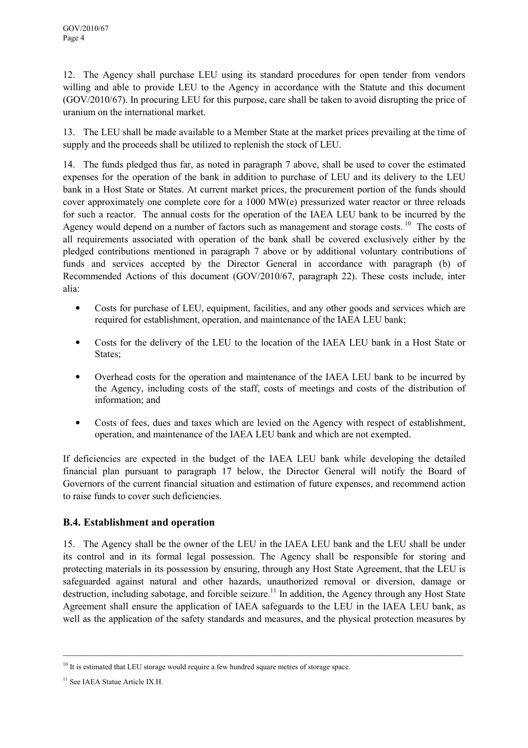12. The Agency shall purchase LEU using its standard procedures for open tender from vendors willing and able to provide LEU to the Agency in accordance with the Statute and this document (GOV/2010/67). In procuring LEU for this purpose, care shall be taken to avoid disrupting the price of uranium on the international market.

13. The LEU shall be made available to a Member State at the market prices prevailing at the time of supply and the proceeds shall be utilized to replenish the stock of LEU.

14. The funds pledged thus far, as noted in paragraph 7 above, shall be used to cover the estimated expenses for the operation of the bank in addition to purchase of LEU and its delivery to the LEU bank in a Host State or States. At current market prices, the procurement portion of the funds should cover approximately one complete core for a 1000 MW(e) pressurized water reactor or three reloads for such a reactor. The annual costs for the operation of the IAEA LEU bank to be incurred by the Agency would depend on a number of factors such as management and storage costs.<sup>10</sup> The costs of all requirements associated with operation of the bank shall be covered exclusively either by the pledged contributions mentioned in paragraph 7 above or by additional voluntary contributions of funds and services accepted by the Director General in accordance with paragraph (b) of Recommended Actions of this document (GOV/2010/67, paragraph 22). These costs include, inter alia:

- Costs for purchase of LEU, equipment, facilities, and any other goods and services which are required for establishment, operation, and maintenance of the IAEA LEU bank;
- Costs for the delivery of the LEU to the location of the IAEA LEU bank in a Host State or States;
- Overhead costs for the operation and maintenance of the IAEA LEU bank to be incurred by the Agency, including costs of the staff, costs of meetings and costs of the distribution of information; and
- Costs of fees, dues and taxes which are levied on the Agency with respect of establishment, operation, and maintenance of the IAEA LEU bank and which are not exempted.

If deficiencies are expected in the budget of the IAEA LEU bank while developing the detailed financial plan pursuant to paragraph 17 below, the Director General will notify the Board of Governors of the current financial situation and estimation of future expenses, and recommend action to raise funds to cover such deficiencies.

### B.4. Establishment and operation

15. The Agency shall be the owner of the LEU in the IAEA LEU bank and the LEU shall be under its control and in its formal legal possession. The Agency shall be responsible for storing and protecting materials in its possession by ensuring, through any Host State Agreement, that the LEU is safeguarded against natural and other hazards, unauthorized removal or diversion, damage or destruction, including sabotage, and forcible seizure.<sup>11</sup> In addition, the Agency through any Host State Agreement shall ensure the application of IAEA safeguards to the LEU in the IAEA LEU bank, as well as the application of the safety standards and measures, and the physical protection measures by

 $10$  It is estimated that LEU storage would require a few hundred square metres of storage space.

<sup>&</sup>lt;sup>11</sup> See IAEA Statue Article IX.H.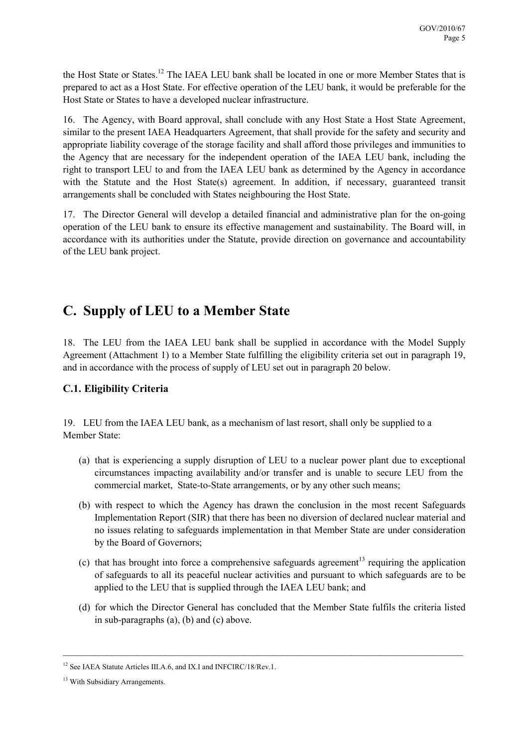the Host State or States.<sup>12</sup> The IAEA LEU bank shall be located in one or more Member States that is prepared to act as a Host State. For effective operation of the LEU bank, it would be preferable for the Host State or States to have a developed nuclear infrastructure.

16. The Agency, with Board approval, shall conclude with any Host State a Host State Agreement, similar to the present IAEA Headquarters Agreement, that shall provide for the safety and security and appropriate liability coverage of the storage facility and shall afford those privileges and immunities to the Agency that are necessary for the independent operation of the IAEA LEU bank, including the right to transport LEU to and from the IAEA LEU bank as determined by the Agency in accordance with the Statute and the Host State(s) agreement. In addition, if necessary, guaranteed transit arrangements shall be concluded with States neighbouring the Host State.

17. The Director General will develop a detailed financial and administrative plan for the on-going operation of the LEU bank to ensure its effective management and sustainability. The Board will, in accordance with its authorities under the Statute, provide direction on governance and accountability of the LEU bank project.

# C. Supply of LEU to a Member State

18. The LEU from the IAEA LEU bank shall be supplied in accordance with the Model Supply Agreement (Attachment 1) to a Member State fulfilling the eligibility criteria set out in paragraph 19, and in accordance with the process of supply of LEU set out in paragraph 20 below.

# C.1. Eligibility Criteria

19. LEU from the IAEA LEU bank, as a mechanism of last resort, shall only be supplied to a Member State:

- (a) that is experiencing a supply disruption of LEU to a nuclear power plant due to exceptional circumstances impacting availability and/or transfer and is unable to secure LEU from the commercial market, State-to-State arrangements, or by any other such means;
- (b) with respect to which the Agency has drawn the conclusion in the most recent Safeguards Implementation Report (SIR) that there has been no diversion of declared nuclear material and no issues relating to safeguards implementation in that Member State are under consideration by the Board of Governors;
- (c) that has brought into force a comprehensive safeguards agreement<sup>13</sup> requiring the application of safeguards to all its peaceful nuclear activities and pursuant to which safeguards are to be applied to the LEU that is supplied through the IAEA LEU bank; and
- (d) for which the Director General has concluded that the Member State fulfils the criteria listed in sub-paragraphs (a), (b) and (c) above.

<sup>&</sup>lt;sup>12</sup> See IAEA Statute Articles III.A.6, and IX.I and INFCIRC/18/Rev.1.

<sup>&</sup>lt;sup>13</sup> With Subsidiary Arrangements.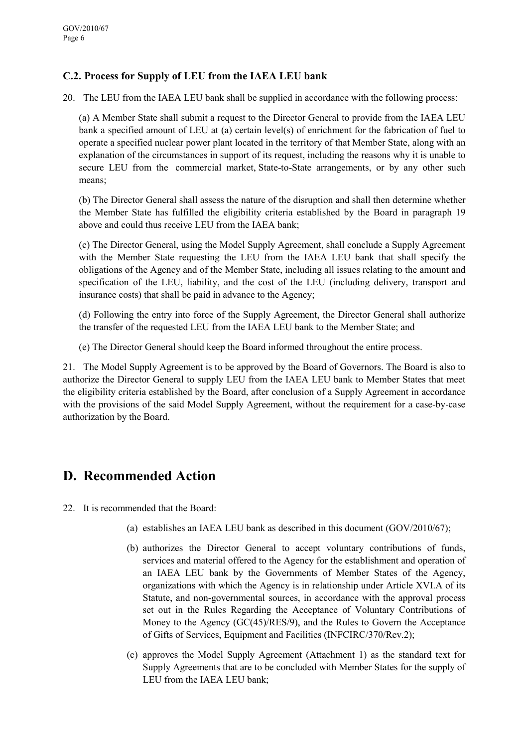## C.2. Process for Supply of LEU from the IAEA LEU bank

20. The LEU from the IAEA LEU bank shall be supplied in accordance with the following process:

(a) A Member State shall submit a request to the Director General to provide from the IAEA LEU bank a specified amount of LEU at (a) certain level(s) of enrichment for the fabrication of fuel to operate a specified nuclear power plant located in the territory of that Member State, along with an explanation of the circumstances in support of its request, including the reasons why it is unable to secure LEU from the commercial market, State-to-State arrangements, or by any other such means;

(b) The Director General shall assess the nature of the disruption and shall then determine whether the Member State has fulfilled the eligibility criteria established by the Board in paragraph 19 above and could thus receive LEU from the IAEA bank;

(c) The Director General, using the Model Supply Agreement, shall conclude a Supply Agreement with the Member State requesting the LEU from the IAEA LEU bank that shall specify the obligations of the Agency and of the Member State, including all issues relating to the amount and specification of the LEU, liability, and the cost of the LEU (including delivery, transport and insurance costs) that shall be paid in advance to the Agency;

(d) Following the entry into force of the Supply Agreement, the Director General shall authorize the transfer of the requested LEU from the IAEA LEU bank to the Member State; and

(e) The Director General should keep the Board informed throughout the entire process.

21. The Model Supply Agreement is to be approved by the Board of Governors. The Board is also to authorize the Director General to supply LEU from the IAEA LEU bank to Member States that meet the eligibility criteria established by the Board, after conclusion of a Supply Agreement in accordance with the provisions of the said Model Supply Agreement, without the requirement for a case-by-case authorization by the Board.

# D. Recommended Action

- 22. It is recommended that the Board:
	- (a) establishes an IAEA LEU bank as described in this document (GOV/2010/67);
	- (b) authorizes the Director General to accept voluntary contributions of funds, services and material offered to the Agency for the establishment and operation of an IAEA LEU bank by the Governments of Member States of the Agency, organizations with which the Agency is in relationship under Article XVI.A of its Statute, and non-governmental sources, in accordance with the approval process set out in the Rules Regarding the Acceptance of Voluntary Contributions of Money to the Agency (GC(45)/RES/9), and the Rules to Govern the Acceptance of Gifts of Services, Equipment and Facilities (INFCIRC/370/Rev.2);
	- (c) approves the Model Supply Agreement (Attachment 1) as the standard text for Supply Agreements that are to be concluded with Member States for the supply of LEU from the IAEA LEU bank;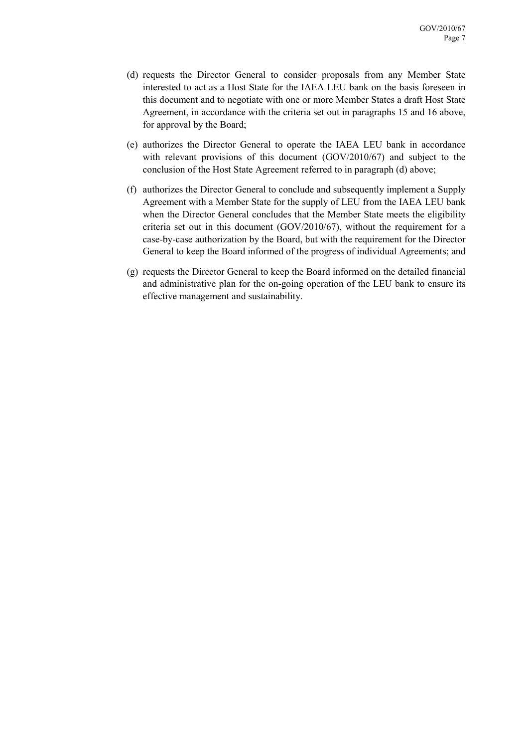- (d) requests the Director General to consider proposals from any Member State interested to act as a Host State for the IAEA LEU bank on the basis foreseen in this document and to negotiate with one or more Member States a draft Host State Agreement, in accordance with the criteria set out in paragraphs 15 and 16 above, for approval by the Board;
- (e) authorizes the Director General to operate the IAEA LEU bank in accordance with relevant provisions of this document (GOV/2010/67) and subject to the conclusion of the Host State Agreement referred to in paragraph (d) above;
- (f) authorizes the Director General to conclude and subsequently implement a Supply Agreement with a Member State for the supply of LEU from the IAEA LEU bank when the Director General concludes that the Member State meets the eligibility criteria set out in this document (GOV/2010/67), without the requirement for a case-by-case authorization by the Board, but with the requirement for the Director General to keep the Board informed of the progress of individual Agreements; and
- (g) requests the Director General to keep the Board informed on the detailed financial and administrative plan for the on-going operation of the LEU bank to ensure its effective management and sustainability.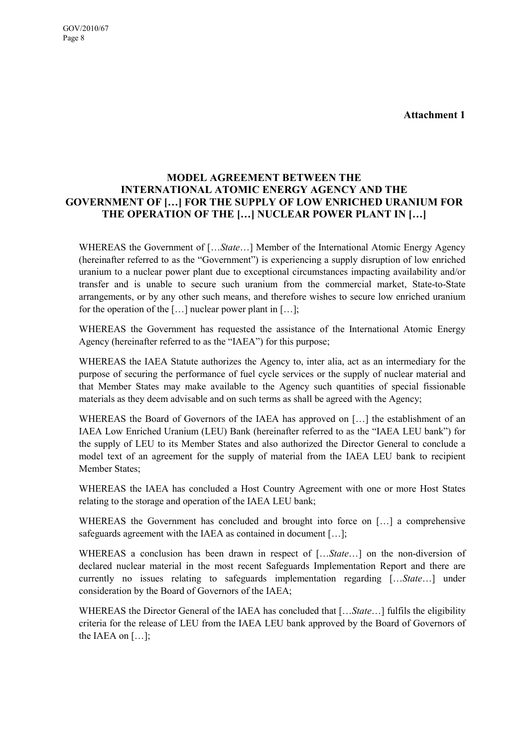Attachment 1

### MODEL AGREEMENT BETWEEN THE INTERNATIONAL ATOMIC ENERGY AGENCY AND THE GOVERNMENT OF […] FOR THE SUPPLY OF LOW ENRICHED URANIUM FOR THE OPERATION OF THE […] NUCLEAR POWER PLANT IN […]

WHEREAS the Government of [... State...] Member of the International Atomic Energy Agency (hereinafter referred to as the "Government") is experiencing a supply disruption of low enriched uranium to a nuclear power plant due to exceptional circumstances impacting availability and/or transfer and is unable to secure such uranium from the commercial market, State-to-State arrangements, or by any other such means, and therefore wishes to secure low enriched uranium for the operation of the  $[\dots]$  nuclear power plant in  $[\dots]$ ;

WHEREAS the Government has requested the assistance of the International Atomic Energy Agency (hereinafter referred to as the "IAEA") for this purpose;

WHEREAS the IAEA Statute authorizes the Agency to, inter alia, act as an intermediary for the purpose of securing the performance of fuel cycle services or the supply of nuclear material and that Member States may make available to the Agency such quantities of special fissionable materials as they deem advisable and on such terms as shall be agreed with the Agency;

WHEREAS the Board of Governors of the IAEA has approved on […] the establishment of an IAEA Low Enriched Uranium (LEU) Bank (hereinafter referred to as the "IAEA LEU bank") for the supply of LEU to its Member States and also authorized the Director General to conclude a model text of an agreement for the supply of material from the IAEA LEU bank to recipient Member States;

WHEREAS the IAEA has concluded a Host Country Agreement with one or more Host States relating to the storage and operation of the IAEA LEU bank;

WHEREAS the Government has concluded and brought into force on [...] a comprehensive safeguards agreement with the IAEA as contained in document […];

WHEREAS a conclusion has been drawn in respect of [...*State...*] on the non-diversion of declared nuclear material in the most recent Safeguards Implementation Report and there are currently no issues relating to safeguards implementation regarding [...*State*...] under consideration by the Board of Governors of the IAEA;

WHEREAS the Director General of the IAEA has concluded that [... State...] fulfils the eligibility criteria for the release of LEU from the IAEA LEU bank approved by the Board of Governors of the IAEA on […];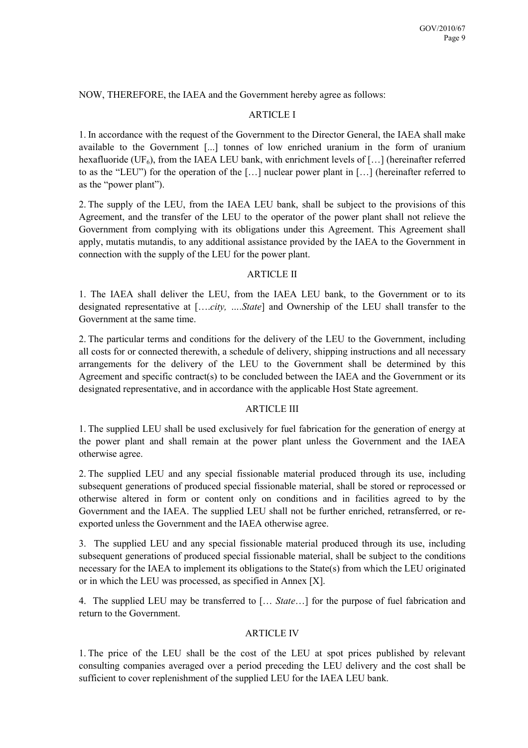NOW, THEREFORE, the IAEA and the Government hereby agree as follows:

#### ARTICLE I

1. In accordance with the request of the Government to the Director General, the IAEA shall make available to the Government [...] tonnes of low enriched uranium in the form of uranium hexafluoride (UF<sub>6</sub>), from the IAEA LEU bank, with enrichment levels of [...] (hereinafter referred to as the "LEU") for the operation of the […] nuclear power plant in […] (hereinafter referred to as the "power plant").

2. The supply of the LEU, from the IAEA LEU bank, shall be subject to the provisions of this Agreement, and the transfer of the LEU to the operator of the power plant shall not relieve the Government from complying with its obligations under this Agreement. This Agreement shall apply, mutatis mutandis, to any additional assistance provided by the IAEA to the Government in connection with the supply of the LEU for the power plant.

#### ARTICLE II

1. The IAEA shall deliver the LEU, from the IAEA LEU bank, to the Government or to its designated representative at [....*city*, ....*State*] and Ownership of the LEU shall transfer to the Government at the same time.

2. The particular terms and conditions for the delivery of the LEU to the Government, including all costs for or connected therewith, a schedule of delivery, shipping instructions and all necessary arrangements for the delivery of the LEU to the Government shall be determined by this Agreement and specific contract(s) to be concluded between the IAEA and the Government or its designated representative, and in accordance with the applicable Host State agreement.

#### ARTICLE III

1. The supplied LEU shall be used exclusively for fuel fabrication for the generation of energy at the power plant and shall remain at the power plant unless the Government and the IAEA otherwise agree.

2. The supplied LEU and any special fissionable material produced through its use, including subsequent generations of produced special fissionable material, shall be stored or reprocessed or otherwise altered in form or content only on conditions and in facilities agreed to by the Government and the IAEA. The supplied LEU shall not be further enriched, retransferred, or reexported unless the Government and the IAEA otherwise agree.

3. The supplied LEU and any special fissionable material produced through its use, including subsequent generations of produced special fissionable material, shall be subject to the conditions necessary for the IAEA to implement its obligations to the State(s) from which the LEU originated or in which the LEU was processed, as specified in Annex [X].

4. The supplied LEU may be transferred to [... *State*...] for the purpose of fuel fabrication and return to the Government.

#### ARTICLE IV

1. The price of the LEU shall be the cost of the LEU at spot prices published by relevant consulting companies averaged over a period preceding the LEU delivery and the cost shall be sufficient to cover replenishment of the supplied LEU for the IAEA LEU bank.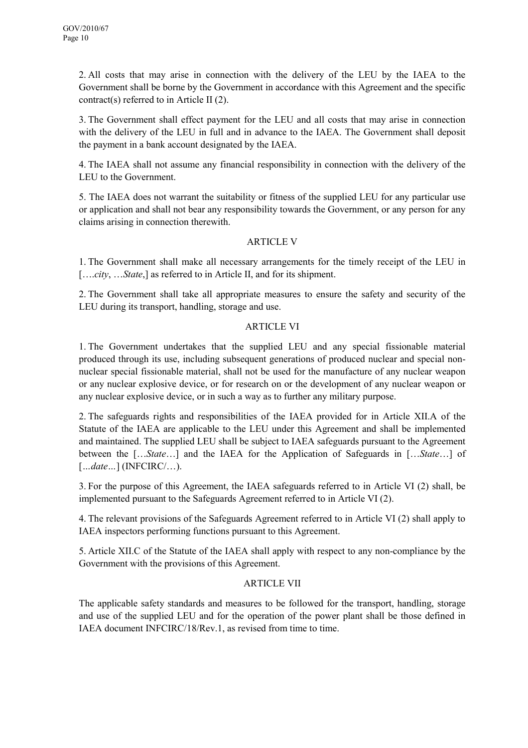2. All costs that may arise in connection with the delivery of the LEU by the IAEA to the Government shall be borne by the Government in accordance with this Agreement and the specific contract(s) referred to in Article II (2).

3. The Government shall effect payment for the LEU and all costs that may arise in connection with the delivery of the LEU in full and in advance to the IAEA. The Government shall deposit the payment in a bank account designated by the IAEA.

4. The IAEA shall not assume any financial responsibility in connection with the delivery of the LEU to the Government.

5. The IAEA does not warrant the suitability or fitness of the supplied LEU for any particular use or application and shall not bear any responsibility towards the Government, or any person for any claims arising in connection therewith.

#### ARTICLE V

1. The Government shall make all necessary arrangements for the timely receipt of the LEU in [....*city, ...State,]* as referred to in Article II, and for its shipment.

2. The Government shall take all appropriate measures to ensure the safety and security of the LEU during its transport, handling, storage and use.

#### ARTICLE VI

1. The Government undertakes that the supplied LEU and any special fissionable material produced through its use, including subsequent generations of produced nuclear and special nonnuclear special fissionable material, shall not be used for the manufacture of any nuclear weapon or any nuclear explosive device, or for research on or the development of any nuclear weapon or any nuclear explosive device, or in such a way as to further any military purpose.

2. The safeguards rights and responsibilities of the IAEA provided for in Article XII.A of the Statute of the IAEA are applicable to the LEU under this Agreement and shall be implemented and maintained. The supplied LEU shall be subject to IAEA safeguards pursuant to the Agreement between the [...*State*...] and the IAEA for the Application of Safeguards in [...*State*...] of  $[\dots date \dots]$  (INFCIRC/ $\dots$ ).

3. For the purpose of this Agreement, the IAEA safeguards referred to in Article VI (2) shall, be implemented pursuant to the Safeguards Agreement referred to in Article VI (2).

4. The relevant provisions of the Safeguards Agreement referred to in Article VI (2) shall apply to IAEA inspectors performing functions pursuant to this Agreement.

5. Article XII.C of the Statute of the IAEA shall apply with respect to any non-compliance by the Government with the provisions of this Agreement.

#### ARTICLE VII

The applicable safety standards and measures to be followed for the transport, handling, storage and use of the supplied LEU and for the operation of the power plant shall be those defined in IAEA document INFCIRC/18/Rev.1, as revised from time to time.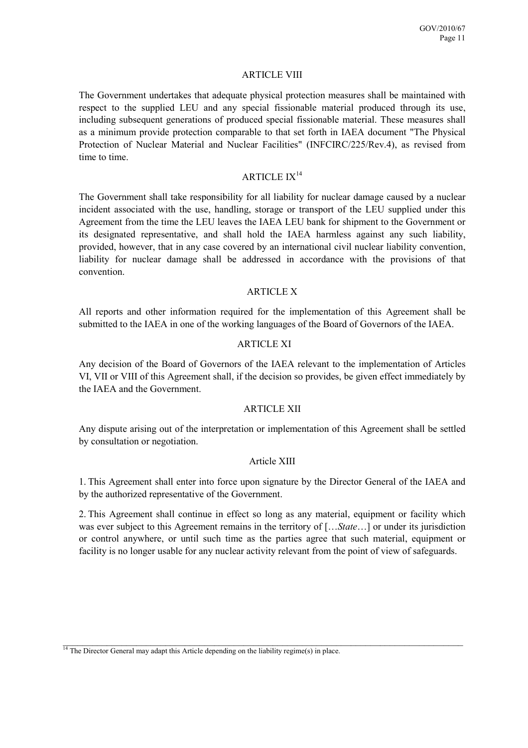#### **ARTICLE VIII**

The Government undertakes that adequate physical protection measures shall be maintained with respect to the supplied LEU and any special fissionable material produced through its use, including subsequent generations of produced special fissionable material. These measures shall as a minimum provide protection comparable to that set forth in IAEA document "The Physical Protection of Nuclear Material and Nuclear Facilities" (INFCIRC/225/Rev.4), as revised from time to time.

### ARTICLE  $IX^{14}$

The Government shall take responsibility for all liability for nuclear damage caused by a nuclear incident associated with the use, handling, storage or transport of the LEU supplied under this Agreement from the time the LEU leaves the IAEA LEU bank for shipment to the Government or its designated representative, and shall hold the IAEA harmless against any such liability, provided, however, that in any case covered by an international civil nuclear liability convention, liability for nuclear damage shall be addressed in accordance with the provisions of that convention.

#### ARTICLE X

All reports and other information required for the implementation of this Agreement shall be submitted to the IAEA in one of the working languages of the Board of Governors of the IAEA.

#### ARTICLE XI

Any decision of the Board of Governors of the IAEA relevant to the implementation of Articles VI, VII or VIII of this Agreement shall, if the decision so provides, be given effect immediately by the IAEA and the Government.

#### ARTICLE XII

Any dispute arising out of the interpretation or implementation of this Agreement shall be settled by consultation or negotiation.

#### Article XIII

1. This Agreement shall enter into force upon signature by the Director General of the IAEA and by the authorized representative of the Government.

2. This Agreement shall continue in effect so long as any material, equipment or facility which was ever subject to this Agreement remains in the territory of [... State...] or under its jurisdiction or control anywhere, or until such time as the parties agree that such material, equipment or facility is no longer usable for any nuclear activity relevant from the point of view of safeguards.

\_\_\_\_\_\_\_\_\_\_\_\_\_\_\_\_\_\_\_\_\_\_\_\_\_\_\_\_\_\_\_\_\_\_\_\_\_\_\_\_\_\_\_\_\_\_\_\_\_\_\_\_\_\_\_\_\_\_\_\_\_\_\_\_\_\_\_\_\_\_\_\_\_\_\_\_\_\_\_\_\_\_

 $<sup>14</sup>$  The Director General may adapt this Article depending on the liability regime(s) in place.</sup>